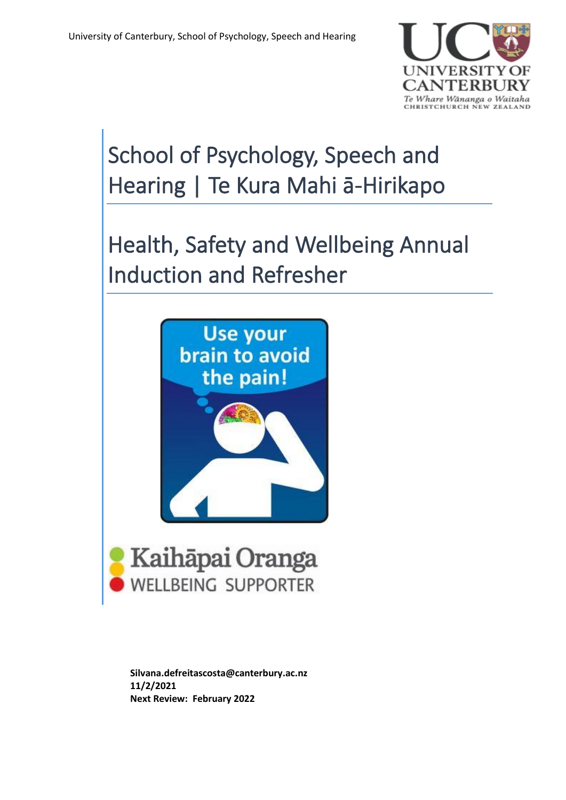

# School of Psychology, Speech and Hearing | Te Kura Mahi ā-Hirikapo

Health, Safety and Wellbeing Annual Induction and Refresher





**Silvana.defreitascosta@canterbury.ac.nz 11/2/2021 Next Review: February 2022**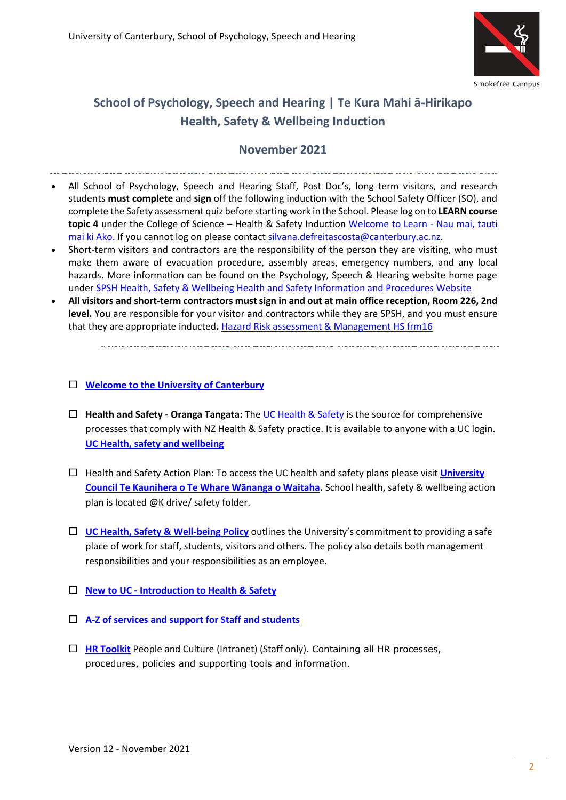

# **School of Psychology, Speech and Hearing | Te Kura Mahi ā-Hirikapo Health, Safety & Wellbeing Induction**

# **November 2021**

- All School of Psychology, Speech and Hearing Staff, Post Doc's, long term visitors, and research students **must complete** and **sign** off the following induction with the School Safety Officer (SO), and complete the Safety assessment quiz before starting work in the School. Please log on to **LEARN course topic 4** under the College of Science – Health & Safety Induction [Welcome to Learn -](https://learn.canterbury.ac.nz/login/index.php) Nau mai, tauti [mai ki Ako.](https://learn.canterbury.ac.nz/login/index.php) If you cannot log on please contact [silvana.defreitascosta@canterbury.ac.nz.](mailto:silvana.defreitascosta@canterbury.ac.nz)
- Short-term visitors and contractors are the responsibility of the person they are visiting, who must make them aware of evacuation procedure, assembly areas, emergency numbers, and any local hazards. More information can be found on the Psychology, Speech & Hearing website home page under [SPSH Health, Safety & Wellbeing Health and Safety Information and Procedures Website](https://www.canterbury.ac.nz/science/schools/psyc-speech-hear/health-safety-and-wellbeing/)
- **All visitors and short-term contractors must sign in and out at main office reception, Room 226, 2nd level.** You are responsible for your visitor and contractors while they are SPSH, and you must ensure that they are appropriate inducted**.** [Hazard Risk assessment & Management HS frm16](https://ucshare-it.canterbury.ac.nz/HUM/HEA/hea002/_layouts/15/WopiFrame2.aspx?sourcedoc=/HUM/HEA/hea002/HSDocs/hs_frm16.docx&action=default)

#### **[Welcome to the University of Canterbury](https://intranet.canterbury.ac.nz/new_staff/)**

- **Health and Safety - Oranga Tangata:** Th[e UC Health & Safety](https://www.canterbury.ac.nz/about/health-and-safety/) is the source for comprehensive processes that comply with NZ Health & Safety practice. It is available to anyone with a UC login. **[UC Health, safety and wellbeing](http://www.canterbury.ac.nz/health-safety-and-wellbeing/)**
- Health and Safety Action Plan: To access the UC health and safety plans please visit **[University](https://www.canterbury.ac.nz/about/governance/university-council/)  [Council Te Kaunihera o Te Whare Wānanga o Waitaha](https://www.canterbury.ac.nz/about/governance/university-council/).** School health, safety & wellbeing action plan is located @K drive/ safety folder.
- **[UC Health, Safety & Well-being Policy](https://www.canterbury.ac.nz/media/uc-policy-library/amended-policies/Health-Safety-and-Wellbeing-Policy.pdf)** outlines the University's commitment to providing a safe place of work for staff, students, visitors and others. The policy also details both management responsibilities and your responsibilities as an employee.
- **New to UC - [Introduction to Health & Safety](https://www.canterbury.ac.nz/about/health-and-safety/new-staff/)**
- **[A-Z of services and support for Staff and students](https://www.canterbury.ac.nz/about/ssac/services-a-z/)**
- **[HR Toolkit](https://intranet.canterbury.ac.nz/hr/toolkit/index.shtml)** People and Culture (Intranet) (Staff only). Containing all HR processes, procedures, policies and supporting tools and information.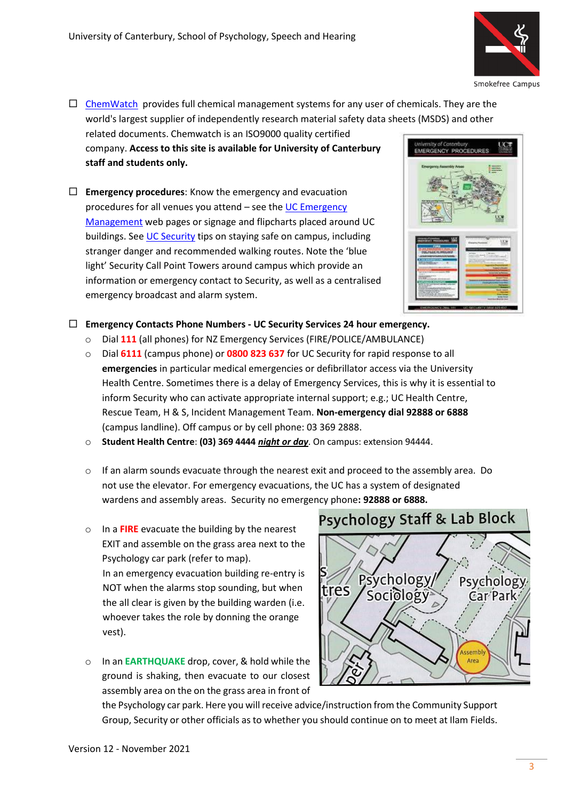

Smokefree Campus

- $\Box$  [ChemWatch](https://jr.chemwatch.net/chemwatch.web/home) provides full chemical management systems for any user of chemicals. They are the world's largest supplier of independently research material safety data sheets (MSDS) and other related documents. Chemwatch is an ISO9000 quality certified company. **Access to this site is available for University of Canterbury**  EMERGENCY PROCEDURES **staff and students only.**
- **Emergency procedures:** Know the emergency and evacuation procedures for all venues you attend – see the [UC Emergency](http://www.canterbury.ac.nz/emergency/)  [Management](http://www.canterbury.ac.nz/emergency/) web pages or signage and flipcharts placed around UC buildings. See [UC Security](https://www.canterbury.ac.nz/support/onsite-services/security/) tips on staying safe on campus, including stranger danger and recommended walking routes. Note the 'blue light' Security Call Point Towers around campus which provide an information or emergency contact to Security, as well as a centralised emergency broadcast and alarm system.



## **Emergency Contacts Phone Numbers - UC Security Services 24 hour emergency.**

- o Dial **111** (all phones) for NZ Emergency Services (FIRE/POLICE/AMBULANCE)
- o Dial **6111** (campus phone) or **0800 823 637** for UC Security for rapid response to all **emergencies** in particular medical emergencies or defibrillator access via the University Health Centre. Sometimes there is a delay of Emergency Services, this is why it is essential to inform Security who can activate appropriate internal support; e.g.; UC Health Centre, Rescue Team, H & S, Incident Management Team. **Non-emergency dial 92888 or 6888** (campus landline). Off campus or by cell phone: 03 369 2888.
- o **Student Health Centre**: **(03) 369 4444** *night or day*. On campus: extension 94444.
- $\circ$  If an alarm sounds evacuate through the nearest exit and proceed to the assembly area. Do not use the elevator. For emergency evacuations, the UC has a system of designated wardens and assembly areas. Security no emergency phone**: 92888 or 6888.**
- o In a **FIRE** evacuate the building by the nearest EXIT and assemble on the grass area next to the Psychology car park (refer to map). In an emergency evacuation building re-entry is NOT when the alarms stop sounding, but when the all clear is given by the building warden (i.e. whoever takes the role by donning the orange vest).
- o In an **EARTHQUAKE** drop, cover, & hold while the ground is shaking, then evacuate to our closest assembly area on the on the grass area in front of

# **Psychology Staff & Lab Block**



the Psychology car park. Here you will receive advice/instruction from the Community Support Group, Security or other officials as to whether you should continue on to meet at Ilam Fields.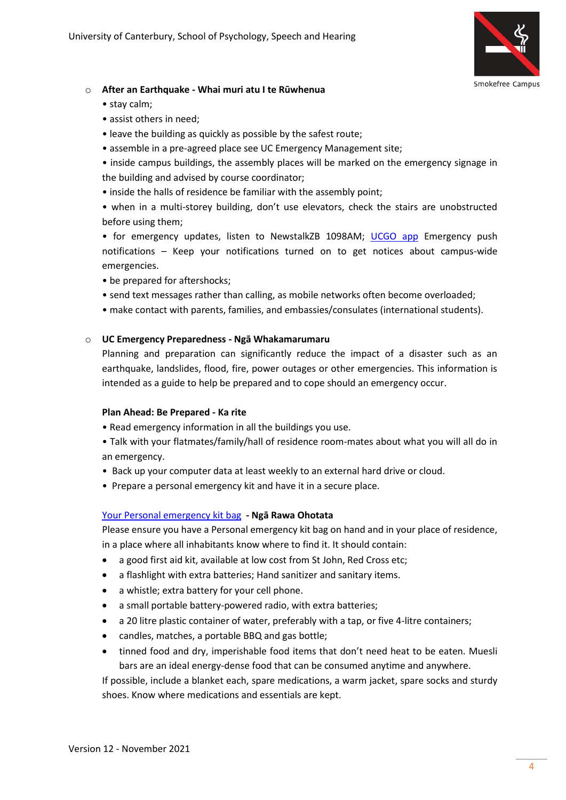

#### o **After an Earthquake - Whai muri atu I te Rūwhenua**

- stay calm;
- assist others in need;
- leave the building as quickly as possible by the safest route;
- assemble in a pre-agreed place see UC Emergency Management site;
- inside campus buildings, the assembly places will be marked on the emergency signage in the building and advised by course coordinator;
- inside the halls of residence be familiar with the assembly point;
- when in a multi-storey building, don't use elevators, check the stairs are unobstructed before using them;

• for emergency updates, listen to NewstalkZB 1098AM; [UCGO app](https://www.canterbury.ac.nz/ucgo/) Emergency push notifications – Keep your notifications turned on to get notices about campus-wide emergencies.

- be prepared for aftershocks;
- send text messages rather than calling, as mobile networks often become overloaded;
- make contact with parents, families, and embassies/consulates (international students).

#### o **UC Emergency Preparedness - Ngā Whakamarumaru**

Planning and preparation can significantly reduce the impact of a disaster such as an earthquake, landslides, flood, fire, power outages or other emergencies. This information is intended as a guide to help be prepared and to cope should an emergency occur.

#### **Plan Ahead: Be Prepared - Ka rite**

- Read emergency information in all the buildings you use.
- Talk with your flatmates/family/hall of residence room-mates about what you will all do in an emergency.
- Back up your computer data at least weekly to an external hard drive or cloud.
- Prepare a personal emergency kit and have it in a secure place.

#### [Your Personal emergency kit bag](https://www.canterbury.ac.nz/support/emergency/emergency-preparedness/emergency-kit-bags/) **- Ngā Rawa Ohotata**

Please ensure you have a [Personal emergency kit bag o](https://www.canterbury.ac.nz/support/emergency/emergency-preparedness/emergency-kit-bags/)n hand and in your place of residence, in a place where all inhabitants know where to find it. It should contain:

- a good first aid kit, available at low cost from St John, Red Cross etc;
- a flashlight with extra batteries; Hand sanitizer and sanitary items.
- a whistle; extra battery for your cell phone.
- a small portable battery-powered radio, with extra batteries;
- a 20 litre plastic container of water, preferably with a tap, or five 4-litre containers;
- candles, matches, a portable BBQ and gas bottle;
- tinned food and dry, imperishable food items that don't need heat to be eaten. Muesli bars are an ideal energy-dense food that can be consumed anytime and anywhere.

If possible, include a blanket each, spare medications, a warm jacket, spare socks and sturdy shoes. Know where medications and essentials are kept.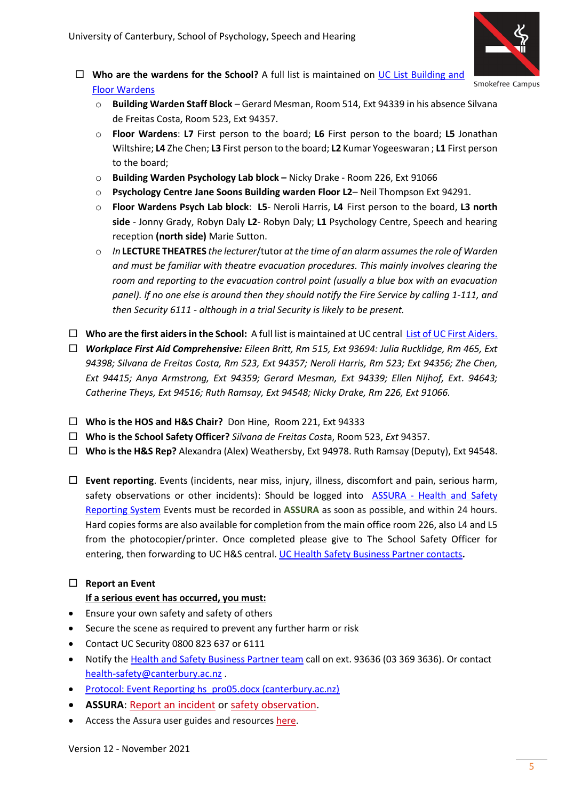

- **Who are the wardens for the School?** A full list is maintained on [UC List Building and](https://ucshare-it.canterbury.ac.nz/HUM/HEA/hea002/Lists/Evacuation%20Wardens/AllItems.aspx)  [Floor Wardens](https://ucshare-it.canterbury.ac.nz/HUM/HEA/hea002/Lists/Evacuation%20Wardens/AllItems.aspx)
	- o **Building Warden Staff Block** *–* Gerard Mesman, Room 514, Ext 94339 in his absence Silvana de Freitas Costa, Room 523, Ext 94357.
	- o **Floor Wardens**: **L7** First person to the board; **L6** First person to the board; **L5** Jonathan Wiltshire; **L4** Zhe Chen; **L3** First person to the board; **L2** Kumar Yogeeswaran ; **L1** First person to the board;
	- o **Building Warden Psychology Lab block –** Nicky Drake Room 226, Ext 91066
	- o **Psychology Centre Jane Soons Building warden Floor L2** Neil Thompson Ext 94291.
	- o **Floor Wardens Psych Lab block**: **L5** Neroli Harris, **L4** First person to the board, **L3 north side** - Jonny Grady, Robyn Daly **L2**- Robyn Daly; **L1** Psychology Centre, Speech and hearing reception **(north side)** Marie Sutton.
	- o *In* **LECTURE THEATRES** *the lecturer*/tutor *at the time of an alarm assumes the role of Warden and must be familiar with theatre evacuation procedures. This mainly involves clearing the room and reporting to the evacuation control point (usually a blue box with an evacuation panel). If no one else is around then they should notify the Fire Service by calling 1-111, and then Security 6111 - although in a trial Security is likely to be present.*
- $\Box$  Who are the first aiders in the School: A full list is maintained at UC central [List of UC First Aiders.](https://ucshare-it.canterbury.ac.nz/HUM/HEA/hea002/Lists/First%20Aiders/AllItems.aspx)
- *Workplace First Aid Comprehensive: Eileen Britt, Rm 515, Ext 93694: Julia Rucklidge, Rm 465, Ext 94398; Silvana de Freitas Costa, Rm 523, Ext 94357; Neroli Harris, Rm 523; Ext 94356; Zhe Chen, Ext 94415; Anya Armstrong, Ext 94359; Gerard Mesman, Ext 94339; Ellen Nijhof, Ext. 94643; Catherine Theys, Ext 94516; Ruth Ramsay, Ext 94548; Nicky Drake, Rm 226, Ext 91066.*
- **Who is the HOS and H&S Chair?** Don Hine, Room 221, Ext 94333
- **Who is the School Safety Officer?** *Silvana de Freitas Cost*a, Room 523, *Ext* 94357.
- **Who is the H&S Rep?** Alexandra (Alex) Weathersby, Ext 94978. Ruth Ramsay (Deputy), Ext 94548.
- **Event reporting**. Events (incidents, near miss, injury, illness, discomfort and pain, serious harm, safety observations or other incidents): Should be logged into ASSURA - [Health and Safety](https://www.canterbury.ac.nz/about/health-and-safety/report-and-investigate-an-incident/)  [Reporting System](https://www.canterbury.ac.nz/about/health-and-safety/report-and-investigate-an-incident/) Events must be recorded in **ASSURA** as soon as possible, and within 24 hours. Hard copies forms are also available for completion from the main office room 226, also L4 and L5 from the photocopier/printer. Once completed please give to The School Safety Officer for entering, then forwarding to UC H&S central. [UC Health Safety Business Partner contacts](https://www.canterbury.ac.nz/about/health-and-safety/contact-us/)**.**

# **Report an Event**

## **If a serious event has occurred, you must:**

- Ensure your own safety and safety of others
- Secure the scene as required to prevent any further harm or risk
- Contact UC Security 0800 823 637 or 6111
- Notify th[e Health and Safety Business Partner team](https://www.canterbury.ac.nz/about/health-and-safety/contact-us/) call on ext. 93636 (03 369 3636). Or contact [health-safety@canterbury.ac.nz](mailto:health-safety@canterbury.ac.nz) .
- [Protocol: Event Reporting hs\\_pro05.docx \(canterbury.ac.nz\)](https://ucshare-it.canterbury.ac.nz/HUM/HEA/hea002/_layouts/15/WopiFrame2.aspx?sourcedoc=/HUM/HEA/hea002/HSDocs/hs_pro05.docx&action=default)
- **ASSURA**: **Report an incident or safety observation**.
- Access the Assura user guides and resources [here.](https://www.canterbury.ac.nz/about/health-and-safety/report-and-investigate-an-incident/assura-user-guides/)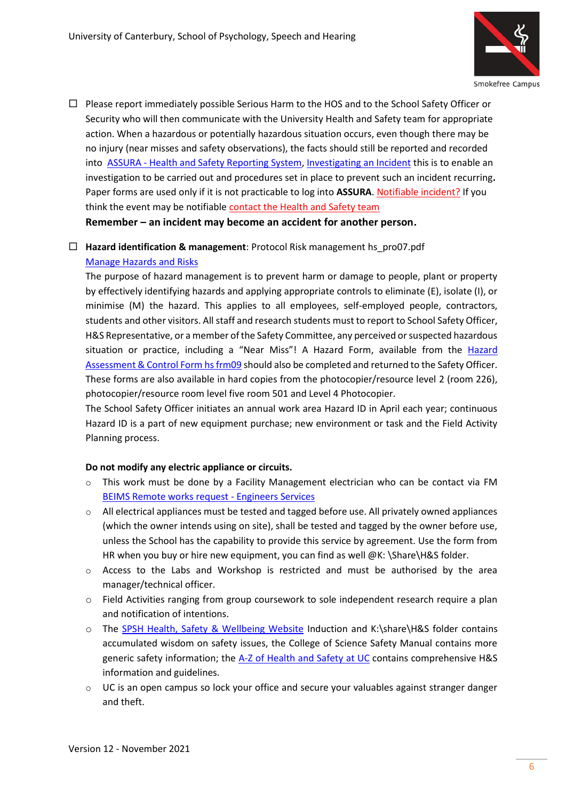

 $\Box$  Please report immediately possible Serious Harm to the HOS and to the School Safety Officer or Security who will then communicate with the University Health and Safety team for appropriate action. When a hazardous or potentially hazardous situation occurs, even though there may be no injury (near misses and safety observations), the facts should still be reported and recorded into ASSURA - [Health and Safety Reporting System,](https://www.canterbury.ac.nz/about/health-and-safety/report-and-investigate-an-incident/) [Investigating an Incident](https://www.canterbury.ac.nz/about/health-and-safety/investigate-an-incident/) this is to enable an investigation to be carried out and procedures set in place to prevent such an incident recurring**.** Paper forms are used only if it is not practicable to log into **ASSURA**. [Notifiable incident?](https://worksafe.govt.nz/notifications/notifiable-event/what-is-a-notifiable-event/) If you think the event may be notifiable [contact the Health and Safety team](https://www.canterbury.ac.nz/about/health-and-safety/contact-us/)

**Remember – an incident may become an accident for another person.**

 **Hazard identification & management**: [Protocol Risk management hs\\_pro07.pdf](https://intranet.canterbury.ac.nz/hs/documents/hs_pro07.pdf) [Manage Hazards and Risks](https://www.canterbury.ac.nz/about/health-and-safety/manage-hazards-and-risks/)

The purpose of hazard management is to prevent harm or damage to people, plant or property by effectively identifying hazards and applying appropriate controls to eliminate (E), isolate (I), or minimise (M) the hazard. This applies to all employees, self-employed people, contractors, students and other visitors. All staff and research students must to report to School Safety Officer, H&S Representative, or a member of the Safety Committee, any perceived or suspected hazardous situation or practice, including a "Near Miss"! A Hazard Form, available from the [Hazard](https://ucshare-it.canterbury.ac.nz/HUM/HEA/hea002/_layouts/15/WopiFrame.aspx?sourcedoc=/HUM/HEA/hea002/HSDocs/hs_frm09.docx&action=default)  [Assessment & Control Form hs frm09](https://ucshare-it.canterbury.ac.nz/HUM/HEA/hea002/_layouts/15/WopiFrame.aspx?sourcedoc=/HUM/HEA/hea002/HSDocs/hs_frm09.docx&action=default) should also be completed and returned to the Safety Officer. These forms are also available in hard copies from the photocopier/resource level 2 (room 226), photocopier/resource room level five room 501 and Level 4 Photocopier.

The School Safety Officer initiates an annual work area Hazard ID in April each year; continuous Hazard ID is a part of new equipment purchase; new environment or task and the Field Activity Planning process.

#### **Do not modify any electric appliance or circuits.**

- $\circ$  This work must be done by a Facility Management electrician who can be contact via FM [BEIMS Remote works request](https://beimsrequest.canterbury.ac.nz/) - Engineers Services
- $\circ$  All electrical appliances must be tested and tagged before use. All privately owned appliances (which the owner intends using on site), shall be tested and tagged by the owner before use, unless the School has the capability to provide this service by agreement. Use the form from HR when you buy or hire new equipment, you can find as well @K: \Share\H&S folder.
- $\circ$  Access to the Labs and Workshop is restricted and must be authorised by the area manager/technical officer.
- o Field Activities ranging from group coursework to sole independent research require a plan and notification of intentions.
- o The [SPSH Health, Safety & Wellbeing Website](https://www.canterbury.ac.nz/science/schools/psyc-speech-hear/health-safety-and-wellbeing/) Induction and K:\share\H&S folder contains accumulated wisdom on safety issues, the College of Science Safety Manual contains more generic safety information; the [A-Z of Health and Safety at UC](https://www.canterbury.ac.nz/about/health-and-safety/a-z-of-health-and-safety/) contains comprehensive H&S information and guidelines.
- $\circ$  UC is an open campus so lock your office and secure your valuables against stranger danger and theft.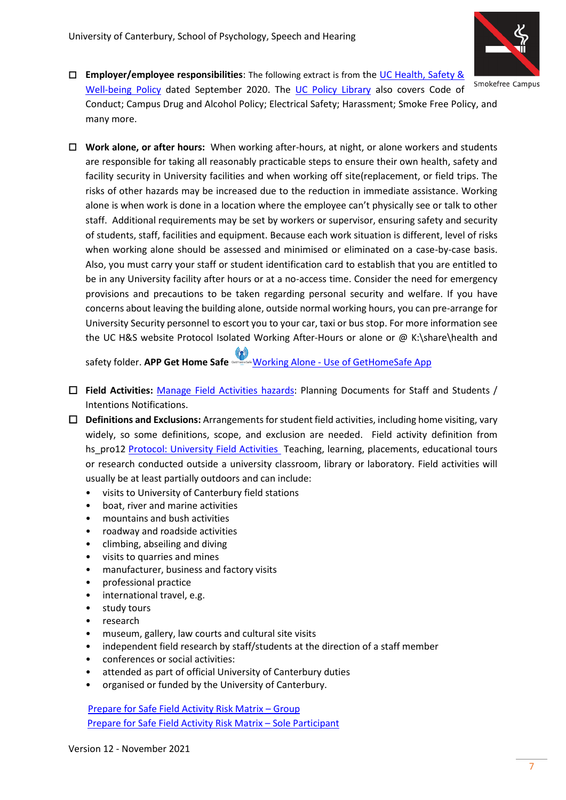

- **Employer/employee responsibilities**: The following extract is from the [UC Health, Safety &](https://www.canterbury.ac.nz/media/uc-policy-library/amended-policies/Health-Safety-and-Wellbeing-Policy.pdf)  Smokefree Campus [Well-being Policy](https://www.canterbury.ac.nz/media/uc-policy-library/amended-policies/Health-Safety-and-Wellbeing-Policy.pdf) dated September 2020. The [UC Policy](http://www.canterbury.ac.nz/ucpolicy/) Library also covers Code of Conduct; Campus Drug and Alcohol Policy; Electrical Safety; Harassment; Smoke Free Policy, and many more.
- **Work alone, or after hours:** When working after-hours, at night, or alone workers and students are responsible for taking all reasonably practicable steps to ensure their own health, safety and facility security in University facilities and when working off site(replacement, or field trips. The risks of other hazards may be increased due to the reduction in immediate assistance. Working alone is when work is done in a location where the employee can't physically see or talk to other staff. Additional requirements may be set by workers or supervisor, ensuring safety and security of students, staff, facilities and equipment. Because each work situation is different, level of risks when working alone should be assessed and minimised or eliminated on a case-by-case basis. Also, you must carry your staff or student identification card to establish that you are entitled to be in any University facility after hours or at a no-access time. Consider the need for emergency provisions and precautions to be taken regarding personal security and welfare. If you have concerns about leaving the building alone, outside normal working hours, you can pre-arrange for University Security personnel to escort you to your car, taxi or bus stop. For more information see the UC H&S website Protocol Isolated Working After-Hours or alone or @ K:\share\health and

safety folder. **AP[P Get Home Safe](https://www.gethomesafe.com/)** Working Alone - [Use of GetHomeSafe App](https://www.canterbury.ac.nz/about/health-and-safety/manage-hazards-and-risks/working-alone/)

- **Field Activities:** [Manage Field Activities hazards:](https://www.canterbury.ac.nz/about/health-and-safety/manage-hazards-and-risks/workteach-in-the-field/) Planning Documents for Staff and Students / Intentions Notifications.
- **Definitions and Exclusions:** Arrangements for student field activities, including home visiting, vary widely, so some definitions, scope, and exclusion are needed. Field activity definition from hs\_pro12 [Protocol: University Field Activities](https://ucshare-it.canterbury.ac.nz/HUM/HEA/hea002/_layouts/15/WopiFrame2.aspx?sourcedoc=/HUM/HEA/hea002/HSDocs/hs_pro12.docx&action=default) Teaching, learning, placements, educational tours or research conducted outside a university classroom, library or laboratory. Field activities will usually be at least partially outdoors and can include:
	- visits to University of Canterbury field stations
	- boat, river and marine activities
	- mountains and bush activities
	- roadway and roadside activities
	- climbing, abseiling and diving
	- visits to quarries and mines
	- manufacturer, business and factory visits
	- professional practice
	- international travel, e.g.
	- study tours
	- research
	- museum, gallery, law courts and cultural site visits
	- independent field research by staff/students at the direction of a staff member
	- conferences or social activities:
	- attended as part of official University of Canterbury duties
	- organised or funded by the University of Canterbury.

[Prepare for Safe Field Activity Risk Matrix](https://ucshare-it.canterbury.ac.nz/HUM/HEA/hea002/_layouts/15/WopiFrame2.aspx?sourcedoc=/HUM/HEA/hea002/HSDocs/hs_msc33.doc&action=default) – Group [Prepare for Safe Field Activity Risk Matrix](https://ucshare-it.canterbury.ac.nz/HUM/HEA/hea002/_layouts/15/WopiFrame.aspx?sourcedoc=/HUM/HEA/hea002/HSDocs/hs_msc41.doc&action=default) – Sole Participant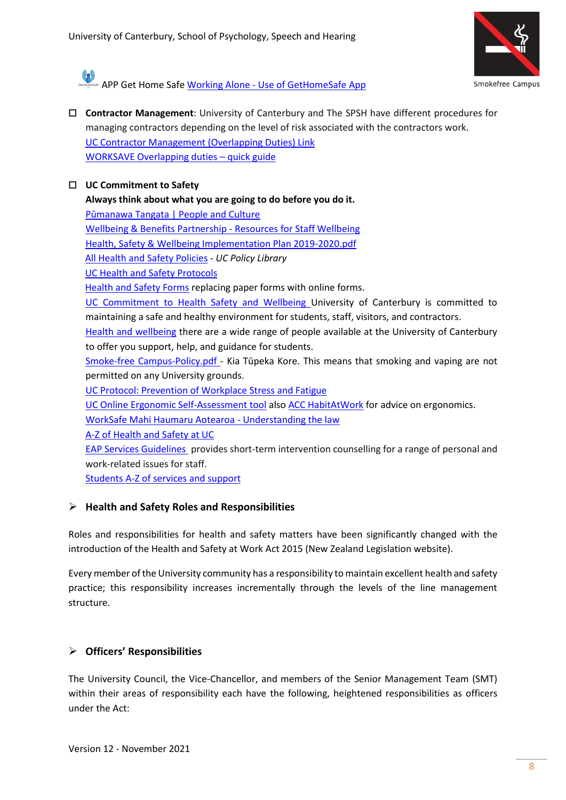

**APP [Get Home Safe W](https://www.gethomesafe.com/)orking Alone - [Use of GetHomeSafe App](https://www.canterbury.ac.nz/about/health-and-safety/manage-hazards-and-risks/working-alone/)** 

 **Contractor Management**: University of Canterbury and The SPSH have different procedures for managing contractors depending on the level of risk associated with the contractors work. [UC Contractor Management \(Overlapping Duties\) Link](https://www.canterbury.ac.nz/about/health-and-safety/manage-hazards-and-risks/manage-riskscontractors/) [WORKSAVE Overlapping duties](https://worksafe.govt.nz/managing-health-and-safety/getting-started/understanding-the-law/overlapping-duties/overlapping-duties-quick-guide/) – quick guide

#### **UC Commitment to Safety**

**Always think about what you are going to do before you do it.**

[Pūmanawa Tangata | People and Culture](https://www.canterbury.ac.nz/about/hr/) 

[Wellbeing & Benefits Partnership -](https://intranet.canterbury.ac.nz/hr/wellbeing/index.shtml) Resources for Staff Wellbeing

[Health, Safety & Wellbeing Implementation Plan 2019-2020.pdf](https://intranet.canterbury.ac.nz/hs/documents/HSW%20Implementation%20Plan%202019-2020.pdf)

[All Health and Safety Policies](http://www.canterbury.ac.nz/ucpolicy/?SearchBy=Category&Value=Health+%26+Safety) *- UC Policy Library*

[UC Health and Safety Protocols](https://www.canterbury.ac.nz/about/health-and-safety/health-and-safety-protocols/)

[Health and Safety Forms](https://www.canterbury.ac.nz/about/health-and-safety/health-and-safety-forms/) replacing paper forms with online forms.

[UC Commitment to Health Safety and Wellbeing](https://www.canterbury.ac.nz/about/health-and-safety/) University of Canterbury is committed to maintaining a safe and healthy environment for students, staff, visitors, and contractors.

[Health and wellbeing](http://www.canterbury.ac.nz/support/health/) there are a wide range of people available at the University of Canterbury to offer you support, help, and guidance for students.

[Smoke-free Campus-Policy.pdf](https://www.canterbury.ac.nz/media/uc-policy-library/general/Smoke-free-Policy.pdf) - Kia Tūpeka Kore. This means that smoking and vaping are not permitted on any University grounds.

[UC Protocol: Prevention of Workplace Stress and Fatigue](https://ucshare-it.canterbury.ac.nz/HUM/HEA/hea002/_layouts/15/WopiFrame2.aspx?sourcedoc=/HUM/HEA/hea002/HSDocs/hs_pro21.docx&action=default)

[UC Online Ergonomic Self-Assessment tool](https://www.canterbury.ac.nz/hr/hs/ergonomic/ergo-self-assess.shtml) also [ACC HabitAtWork](http://www.habitatwork.co.nz/) for advice on ergonomics.

[WorkSafe Mahi Haumaru Aotearoa -](https://worksafe.govt.nz/managing-health-and-safety/getting-started/understanding-the-law/) Understanding the law

[A-Z of Health and Safety at UC](https://www.canterbury.ac.nz/about/health-and-safety/a-z-of-health-and-safety/#m)

[EAP Services Guidelines](https://ucshare.canterbury.ac.nz/HUM/STM/STM002/PublishedHRToolkitDocuments/bf_gdl06.pdf) provides short-term intervention counselling for a range of personal and work-related issues for staff.

[Students A-Z of services and support](https://www.canterbury.ac.nz/about/ssac/services-a-z/)

#### ➢ **Health and Safety Roles and Responsibilities**

Roles and responsibilities for health and safety matters have been significantly changed with the introduction of the Health and Safety at Work Act 2015 (New Zealand Legislation website).

Every member of the University community has a responsibility to maintain excellent health and safety practice; this responsibility increases incrementally through the levels of the line management structure.

## ➢ **Officers' Responsibilities**

The University Council, the Vice-Chancellor, and members of the Senior Management Team (SMT) within their areas of responsibility each have the following, heightened responsibilities as officers under the Act: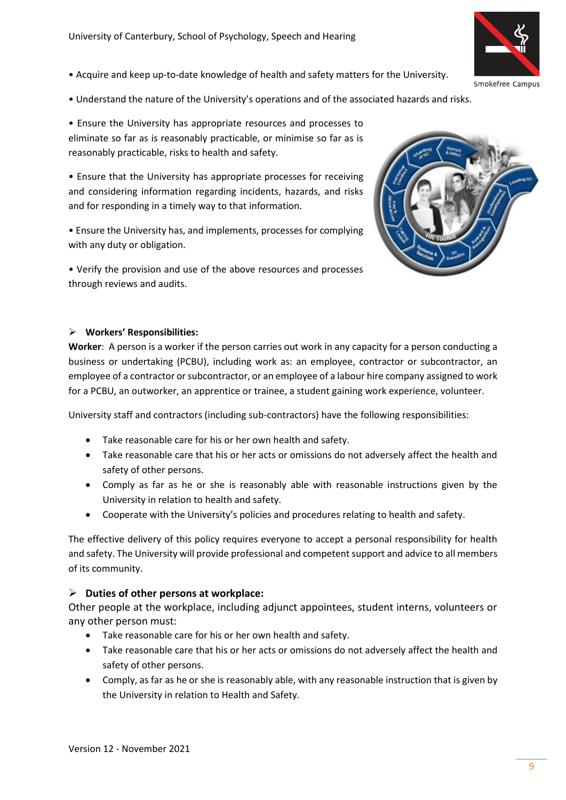- Acquire and keep up-to-date knowledge of health and safety matters for the University.
- Understand the nature of the University's operations and of the associated hazards and risks.

• Ensure the University has appropriate resources and processes to eliminate so far as is reasonably practicable, or minimise so far as is reasonably practicable, risks to health and safety.

• Ensure that the University has appropriate processes for receiving and considering information regarding incidents, hazards, and risks and for responding in a timely way to that information.

• Ensure the University has, and implements, processes for complying with any duty or obligation.

• Verify the provision and use of the above resources and processes through reviews and audits.



#### ➢ **Workers' Responsibilities:**

**Worker**: A person is a worker if the person carries out work in any capacity for a person conducting a business or undertaking (PCBU), including work as: an employee, contractor or subcontractor, an employee of a contractor or subcontractor, or an employee of a labour hire company assigned to work for a PCBU, an outworker, an apprentice or trainee, a student gaining work experience, volunteer.

University staff and contractors (including sub-contractors) have the following responsibilities:

- Take reasonable care for his or her own health and safety.
- Take reasonable care that his or her acts or omissions do not adversely affect the health and safety of other persons.
- Comply as far as he or she is reasonably able with reasonable instructions given by the University in relation to health and safety.
- Cooperate with the University's policies and procedures relating to health and safety.

The effective delivery of this policy requires everyone to accept a personal responsibility for health and safety. The University will provide professional and competent support and advice to all members of its community.

#### ➢ **Duties of other persons at workplace:**

Other people at the workplace, including adjunct appointees, student interns, volunteers or any other person must:

- Take reasonable care for his or her own health and safety.
- Take reasonable care that his or her acts or omissions do not adversely affect the health and safety of other persons.
- Comply, as far as he or she is reasonably able, with any reasonable instruction that is given by the University in relation to Health and Safety.

Smokefree Campus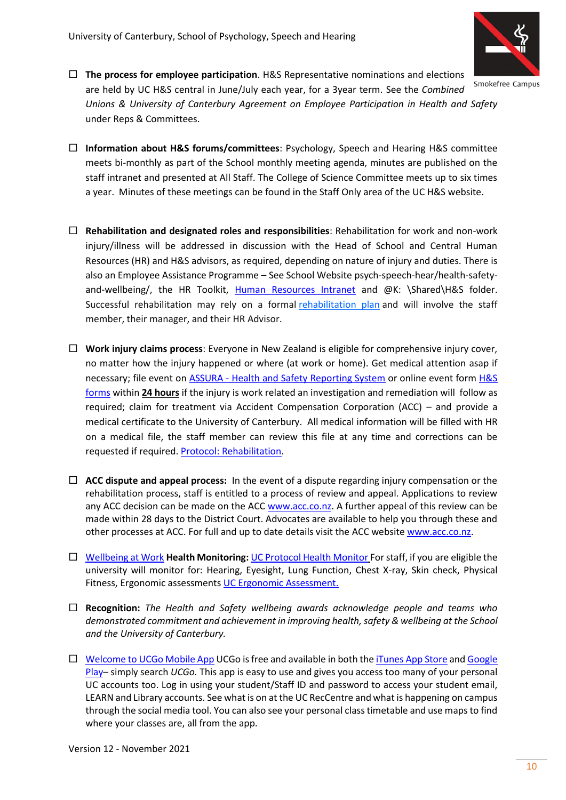

Smokefree Campus

 **The process for employee participation**. H&S Representative nominations and elections are held by UC H&S central in June/July each year, for a 3year term. See the *Combined Unions & University of Canterbury Agreement on Employee Participation in Health and Safety* under Reps & Committees.

- **Information about H&S forums/committees**: Psychology, Speech and Hearing H&S committee meets bi-monthly as part of the School monthly meeting agenda, minutes are published on the staff intranet and presented at All Staff. The College of Science Committee meets up to six times a year. Minutes of these meetings can be found in the Staff Only area of the UC H&S website.
- **Rehabilitation and designated roles and responsibilities**: Rehabilitation for work and non-work injury/illness will be addressed in discussion with the Head of School and Central Human Resources (HR) and H&S advisors, as required, depending on nature of injury and duties. There is also an Employee Assistance Programme – See School Websit[e psych-speech-hear/health-safety](https://www.canterbury.ac.nz/science/schools-and-departments/psyc-speech-hear/health-safety-and-wellbeing/)[and-wellbeing/,](https://www.canterbury.ac.nz/science/schools-and-departments/psyc-speech-hear/health-safety-and-wellbeing/) the HR Toolkit, [Human Resources Intranet](https://intranet.canterbury.ac.nz/hr/) and @K: \Shared\H&S folder. Successful rehabilitation may rely on a formal [rehabilitation plan](https://ucshare-it.canterbury.ac.nz/HUM/HEA/hea002/_layouts/15/WopiFrame.aspx?sourcedoc=/HUM/HEA/hea002/HSDocs/hs_frm06.docx&action=default) and will involve the staff member, their manager, and their HR Advisor.
- **Work injury claims process**: Everyone in New Zealand is eligible for comprehensive injury cover, no matter how the injury happened or where (at work or home). Get medical attention asap if necessary; file event on **ASSURA** - [Health and Safety Reporting System](https://www.canterbury.ac.nz/about/health-and-safety/report-and-investigate-an-incident/) or online event form **H&S** [forms](https://www.canterbury.ac.nz/about/health-and-safety/health-and-safety-forms/) within **24 hours** if the injury is work related an investigation and remediation will follow as required; claim for treatment via Accident Compensation Corporation (ACC) – and provide a medical certificate to the University of Canterbury. All medical information will be filled with HR on a medical file, the staff member can review this file at any time and corrections can be requested if required. [Protocol: Rehabilitation.](https://ucshare-it.canterbury.ac.nz/HUM/HEA/hea002/_layouts/15/WopiFrame.aspx?sourcedoc=/HUM/HEA/hea002/HSDocs/hs_pro03.docx&action=default)
- **ACC dispute and appeal process:** In the event of a dispute regarding injury compensation or the rehabilitation process, staff is entitled to a process of review and appeal. Applications to review any ACC decision can be made on the ACC [www.acc.co.nz.](http://www.acc.co.nz/) A further appeal of this review can be made within 28 days to the District Court. Advocates are available to help you through these and other processes at ACC. For full and up to date details visit the ACC website [www.acc.co.nz.](http://www.acc.co.nz/)
- [Wellbeing at Work](https://www.canterbury.ac.nz/about/health-and-safety/wellbeing-at-work/) **Health Monitoring:** [UC Protocol Health Monitor](https://ucshare-it.canterbury.ac.nz/HUM/HEA/hea002/_layouts/15/WopiFrame2.aspx?sourcedoc=/HUM/HEA/hea002/HSDocs/hs_pro18.docx&action=default) For staff, if you are eligible the university will monitor for: Hearing, Eyesight, Lung Function, Chest X-ray, Skin check, Physical Fitness, Ergonomic assessments [UC Ergonomic Assessment.](http://www.canterbury.ac.nz/hr/hs/UCErgonomicEvaluationTool%20export%20v7/UC%20Ergonomic%20%28Web%29/index.html)
- **Recognition:** *The Health and Safety wellbeing awards acknowledge people and teams who demonstrated commitment and achievement in improving health, safety & wellbeing at the School and the University of Canterbury.*
- $\Box$  [Welcome to UCGo Mobile App](https://www.canterbury.ac.nz/ucgo/) UCGo is free and available in both th[e iTunes App Store](https://itunes.apple.com/us/app/ucgo/id1455335555?ls=1&mt=8) and Google [Play](https://play.google.com/store/apps/details?id=com.ombiel.campusm.canterburynz)– simply search *UCGo.* This app is easy to use and gives you access too many of your personal UC accounts too. Log in using your student/Staff ID and password to access your student email, LEARN and Library accounts. See what is on at the UC RecCentre and what is happening on campus through the social media tool. You can also see your personal class timetable and use maps to find where your classes are, all from the app.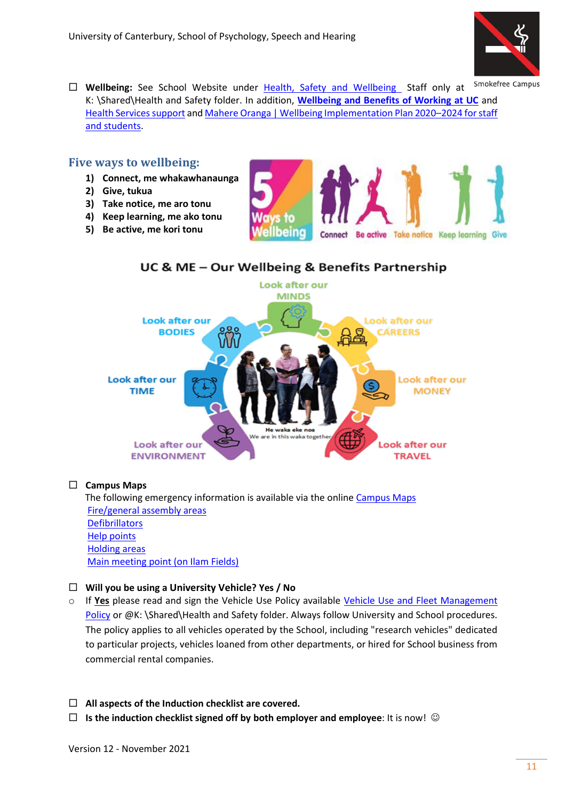

- Smokefree Campus
- **Wellbeing:** See School Website under [Health, Safety and Wellbeing](https://www.canterbury.ac.nz/science/schools/psyc-speech-hear/health-safety-and-wellbeing/) Staff only at K: \Shared\Health and Safety folder. In addition, **Wellbeing [and Benefits of Working at UC](https://www.canterbury.ac.nz/joinus/benefits/)** and [Health Services support](https://www.canterbury.ac.nz/support/health/) an[d Mahere Oranga | Wellbeing Implementation Plan 2020](https://www.canterbury.ac.nz/support/health/wellbeing-plan/)–2024 for staff [and students.](https://www.canterbury.ac.nz/support/health/wellbeing-plan/)

#### **Five ways to wellbeing:**

- **1) Connect, me whakawhanaunga**
- **2) Give, tukua**
- **3) Take notice, me aro tonu**
- **4) Keep learning, me ako tonu**
- **5) Be active, me kori tonu**



# UC & ME - Our Wellbeing & Benefits Partnership



#### **Campus Maps**

The following emergency information is available via the onlin[e Campus Maps](http://www.canterbury.ac.nz/maps/home) [Fire/general assembly areas](http://www.canterbury.ac.nz/maps/home?q=assembly) **[Defibrillators](http://www.canterbury.ac.nz/maps/home?q=defib)**  [Help points](http://www.canterbury.ac.nz/maps/home?q=help+point)  [Holding areas](http://www.canterbury.ac.nz/maps/home?q=holding)  [Main meeting point \(on Ilam Fields\)](http://www.canterbury.ac.nz/maps/home?q=main+meeting+point) 

#### **Will you be using a University Vehicle? Yes / No**

- o If **Yes** please read and sign the Vehicle Use Policy available [Vehicle Use and Fleet Management](https://www.canterbury.ac.nz/media/uc-policy-library/general/Vehicle-Use-And-Fleet-Management-Policy.pdf)  [Policy](https://www.canterbury.ac.nz/media/uc-policy-library/general/Vehicle-Use-And-Fleet-Management-Policy.pdf) or @K: \Shared\Health and Safety folder. Always follow University and School procedures. The policy applies to all vehicles operated by the School, including "research vehicles" dedicated to particular projects, vehicles loaned from other departments, or hired for School business from commercial rental companies.
- **All aspects of the Induction checklist are covered.**
- **Is the induction checklist signed off by both employer and employee**: It is now! ☺